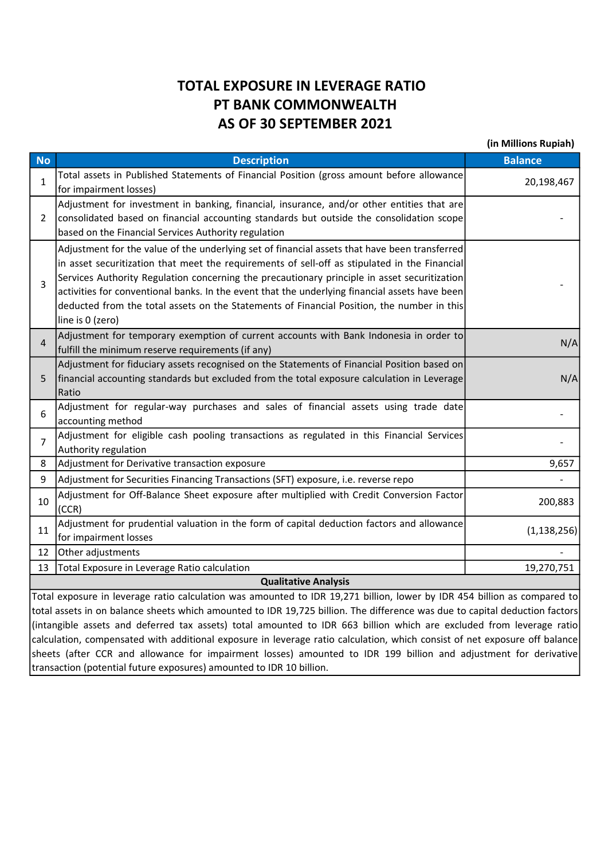## TOTAL EXPOSURE IN LEVERAGE RATIO PT BANK COMMONWEALTH AS OF 30 SEPTEMBER 2021

(in Millions Rupiah)

| <b>No</b>                                                                                                                | <b>Description</b>                                                                                                                               | <b>Balance</b> |  |  |  |  |
|--------------------------------------------------------------------------------------------------------------------------|--------------------------------------------------------------------------------------------------------------------------------------------------|----------------|--|--|--|--|
| 1                                                                                                                        | Total assets in Published Statements of Financial Position (gross amount before allowance                                                        | 20,198,467     |  |  |  |  |
|                                                                                                                          | for impairment losses)                                                                                                                           |                |  |  |  |  |
| $\overline{2}$<br>3                                                                                                      | Adjustment for investment in banking, financial, insurance, and/or other entities that are                                                       |                |  |  |  |  |
|                                                                                                                          | consolidated based on financial accounting standards but outside the consolidation scope<br>based on the Financial Services Authority regulation |                |  |  |  |  |
|                                                                                                                          |                                                                                                                                                  |                |  |  |  |  |
|                                                                                                                          | Adjustment for the value of the underlying set of financial assets that have been transferred                                                    |                |  |  |  |  |
|                                                                                                                          | in asset securitization that meet the requirements of sell-off as stipulated in the Financial                                                    |                |  |  |  |  |
|                                                                                                                          | Services Authority Regulation concerning the precautionary principle in asset securitization                                                     |                |  |  |  |  |
|                                                                                                                          | activities for conventional banks. In the event that the underlying financial assets have been                                                   |                |  |  |  |  |
|                                                                                                                          | deducted from the total assets on the Statements of Financial Position, the number in this                                                       |                |  |  |  |  |
|                                                                                                                          | line is 0 (zero)                                                                                                                                 |                |  |  |  |  |
| $\overline{4}$                                                                                                           | Adjustment for temporary exemption of current accounts with Bank Indonesia in order to                                                           | N/A            |  |  |  |  |
|                                                                                                                          | fulfill the minimum reserve requirements (if any)                                                                                                |                |  |  |  |  |
| 5.                                                                                                                       | Adjustment for fiduciary assets recognised on the Statements of Financial Position based on                                                      | N/A            |  |  |  |  |
|                                                                                                                          | financial accounting standards but excluded from the total exposure calculation in Leverage<br>Ratio                                             |                |  |  |  |  |
| 6                                                                                                                        | Adjustment for regular-way purchases and sales of financial assets using trade date                                                              |                |  |  |  |  |
|                                                                                                                          | accounting method                                                                                                                                |                |  |  |  |  |
| $\overline{7}$                                                                                                           | Adjustment for eligible cash pooling transactions as regulated in this Financial Services                                                        |                |  |  |  |  |
|                                                                                                                          | Authority regulation                                                                                                                             |                |  |  |  |  |
| 8                                                                                                                        | Adjustment for Derivative transaction exposure                                                                                                   | 9,657          |  |  |  |  |
| 9                                                                                                                        | Adjustment for Securities Financing Transactions (SFT) exposure, i.e. reverse repo                                                               |                |  |  |  |  |
|                                                                                                                          | Adjustment for Off-Balance Sheet exposure after multiplied with Credit Conversion Factor                                                         |                |  |  |  |  |
| 10                                                                                                                       | (CCR)                                                                                                                                            | 200,883        |  |  |  |  |
| 11                                                                                                                       | Adjustment for prudential valuation in the form of capital deduction factors and allowance                                                       |                |  |  |  |  |
|                                                                                                                          | for impairment losses                                                                                                                            | (1, 138, 256)  |  |  |  |  |
| 12                                                                                                                       | Other adjustments                                                                                                                                |                |  |  |  |  |
| 13                                                                                                                       | Total Exposure in Leverage Ratio calculation                                                                                                     | 19,270,751     |  |  |  |  |
| <b>Qualitative Analysis</b>                                                                                              |                                                                                                                                                  |                |  |  |  |  |
| Total exposure in leverage ratio calculation was amounted to IDR 19,271 billion, lower by IDR 454 billion as compared to |                                                                                                                                                  |                |  |  |  |  |
|                                                                                                                          | total assets in on balance sheets which amounted to IDR 19,725 billion. The difference was due to capital deduction factors                      |                |  |  |  |  |

(intangible assets and deferred tax assets) total amounted to IDR 663 billion which are excluded from leverage ratio calculation, compensated with additional exposure in leverage ratio calculation, which consist of net exposure off balance sheets (after CCR and allowance for impairment losses) amounted to IDR 199 billion and adjustment for derivative transaction (potential future exposures) amounted to IDR 10 billion.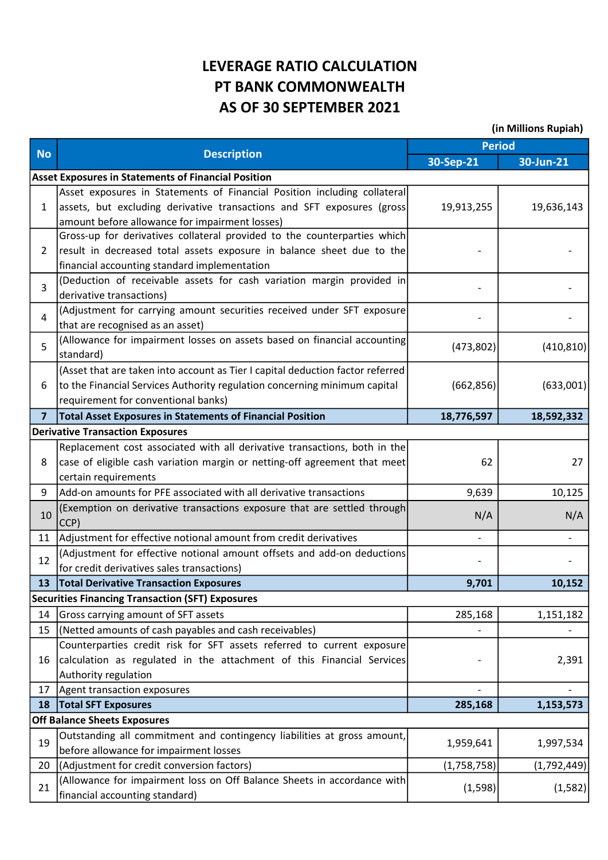## LEVERAGE RATIO CALCULATION PT BANK COMMONWEALTH AS OF 30 SEPTEMBER 2021

(in Millions Rupiah)

|                |                                                                                 | <b>Period</b> |             |  |
|----------------|---------------------------------------------------------------------------------|---------------|-------------|--|
| <b>No</b>      | <b>Description</b>                                                              | 30-Sep-21     | 30-Jun-21   |  |
|                | <b>Asset Exposures in Statements of Financial Position</b>                      |               |             |  |
| 1              | Asset exposures in Statements of Financial Position including collateral        |               |             |  |
|                | assets, but excluding derivative transactions and SFT exposures (gross          | 19,913,255    | 19,636,143  |  |
|                | amount before allowance for impairment losses)                                  |               |             |  |
| $\overline{2}$ | Gross-up for derivatives collateral provided to the counterparties which        |               |             |  |
|                | result in decreased total assets exposure in balance sheet due to the           |               |             |  |
|                | financial accounting standard implementation                                    |               |             |  |
| 3              | (Deduction of receivable assets for cash variation margin provided in           |               |             |  |
|                | derivative transactions)                                                        |               |             |  |
| 4              | (Adjustment for carrying amount securities received under SFT exposure          |               |             |  |
|                | that are recognised as an asset)                                                |               |             |  |
| 5              | (Allowance for impairment losses on assets based on financial accounting        | (473,802)     | (410, 810)  |  |
|                | standard)                                                                       |               |             |  |
|                | (Asset that are taken into account as Tier I capital deduction factor referred  |               |             |  |
| 6              | to the Financial Services Authority regulation concerning minimum capital       | (662, 856)    | (633,001)   |  |
|                | requirement for conventional banks)                                             |               |             |  |
| $\overline{7}$ | Total Asset Exposures in Statements of Financial Position                       | 18,776,597    | 18,592,332  |  |
|                | <b>Derivative Transaction Exposures</b>                                         |               |             |  |
|                | Replacement cost associated with all derivative transactions, both in the       |               |             |  |
| 8              | case of eligible cash variation margin or netting-off agreement that meet       | 62            | 27          |  |
|                | certain requirements                                                            |               |             |  |
| 9              | Add-on amounts for PFE associated with all derivative transactions              | 9,639         | 10,125      |  |
| 10             | (Exemption on derivative transactions exposure that are settled through<br>CCP) | N/A           | N/A         |  |
| 11             | Adjustment for effective notional amount from credit derivatives                |               |             |  |
|                | (Adjustment for effective notional amount offsets and add-on deductions         |               |             |  |
| 12             | for credit derivatives sales transactions)                                      |               |             |  |
| 13             | <b>Total Derivative Transaction Exposures</b>                                   | 9,701         | 10,152      |  |
|                | <b>Securities Financing Transaction (SFT) Exposures</b>                         |               |             |  |
| 14             | Gross carrying amount of SFT assets                                             | 285,168       | 1,151,182   |  |
| 15             | (Netted amounts of cash payables and cash receivables)                          |               |             |  |
|                | Counterparties credit risk for SFT assets referred to current exposure          |               |             |  |
| 16             | calculation as regulated in the attachment of this Financial Services           |               | 2,391       |  |
|                | Authority regulation                                                            |               |             |  |
| 17             | Agent transaction exposures                                                     |               |             |  |
| 18             | <b>Total SFT Exposures</b>                                                      | 285,168       | 1,153,573   |  |
|                | <b>Off Balance Sheets Exposures</b>                                             |               |             |  |
| 19             | Outstanding all commitment and contingency liabilities at gross amount,         |               |             |  |
|                | before allowance for impairment losses                                          | 1,959,641     | 1,997,534   |  |
| 20             | (Adjustment for credit conversion factors)                                      | (1,758,758)   | (1,792,449) |  |
| 21             | (Allowance for impairment loss on Off Balance Sheets in accordance with         | (1, 598)      | (1,582)     |  |
|                | financial accounting standard)                                                  |               |             |  |